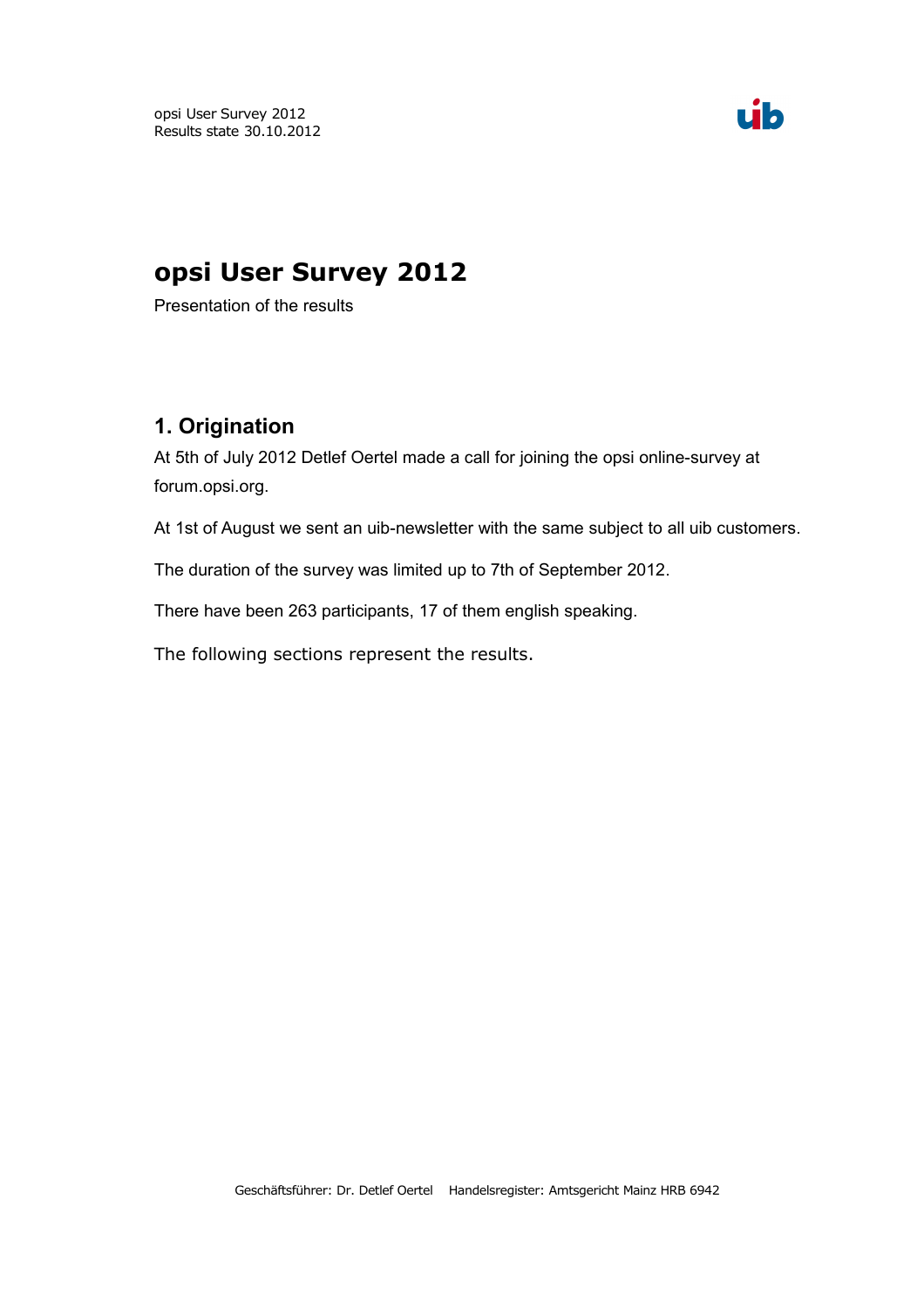opsi User Survey 2012 Results state 30.10.2012



# **opsi User Survey 2012**

Presentation of the results

#### **1. Origination**

At 5th of July 2012 Detlef Oertel made a call for joining the opsi online-survey at forum.opsi.org.

At 1st of August we sent an uib-newsletter with the same subject to all uib customers.

The duration of the survey was limited up to 7th of September 2012.

There have been 263 participants, 17 of them english speaking.

The following sections represent the results.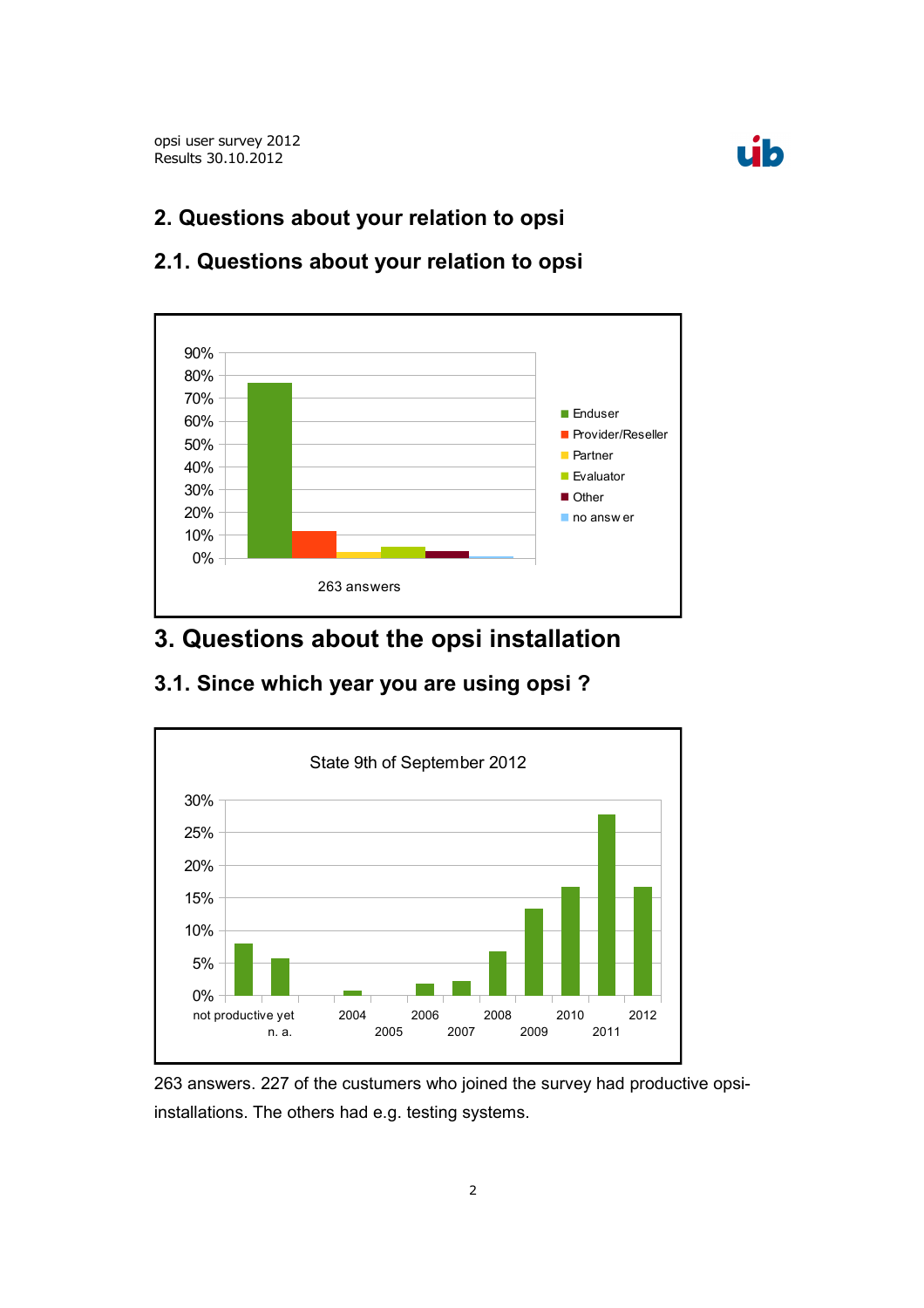

### **2. Questions about your relation to opsi**



#### **2.1. Questions about your relation to opsi**

## **3. Questions about the opsi installation**

#### **3.1. Since which year you are using opsi ?**



263 answers. 227 of the custumers who joined the survey had productive opsiinstallations. The others had e.g. testing systems.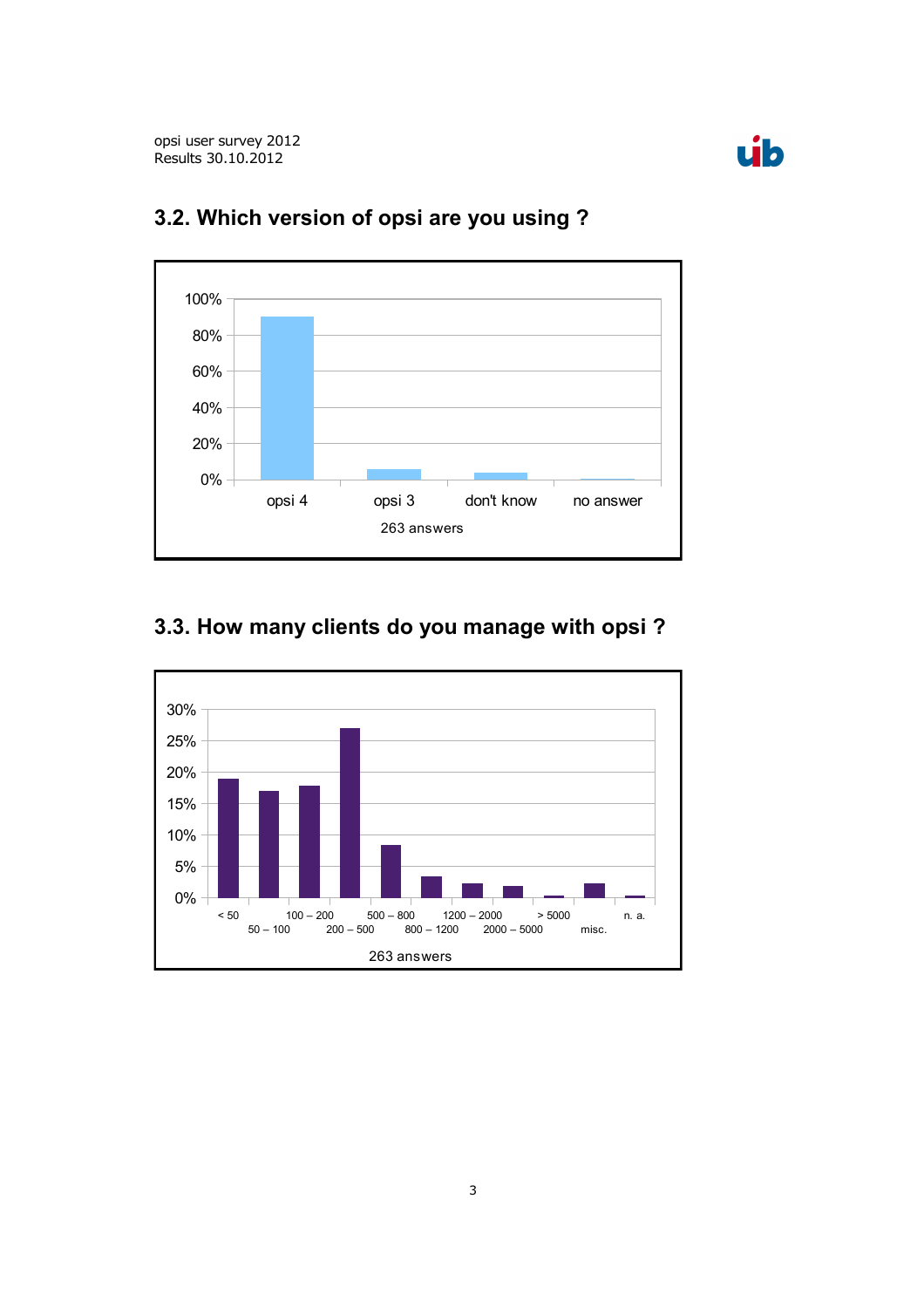



## **3.2. Which version of opsi are you using ?**



## **3.3. How many clients do you manage with opsi ?**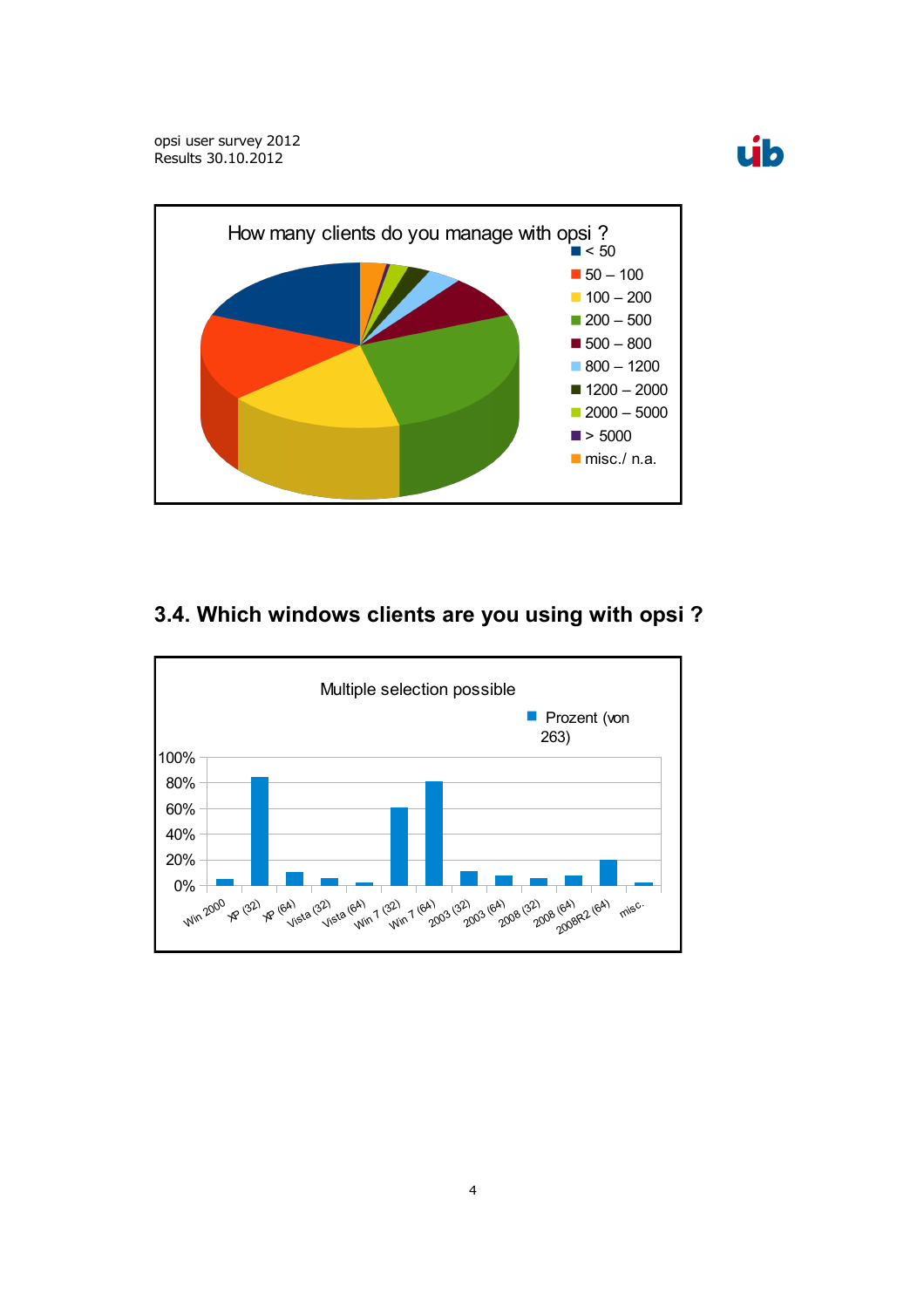



#### **3.4. Which windows clients are you using with opsi ?**

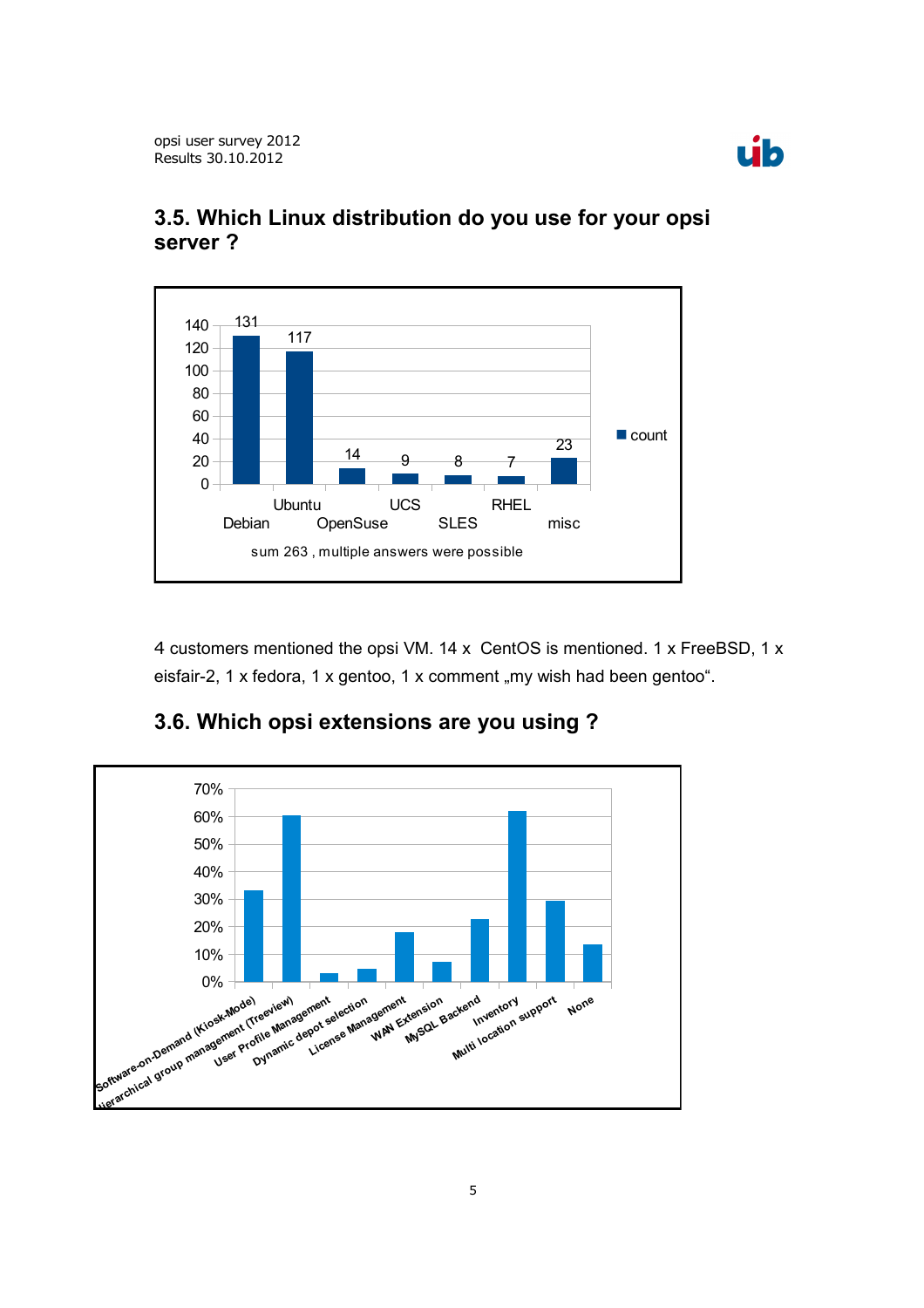



#### **3.5. Which Linux distribution do you use for your opsi server ?**

4 customers mentioned the opsi VM. 14 x CentOS is mentioned. 1 x FreeBSD, 1 x eisfair-2, 1 x fedora, 1 x gentoo, 1 x comment "my wish had been gentoo".



#### **3.6. Which opsi extensions are you using ?**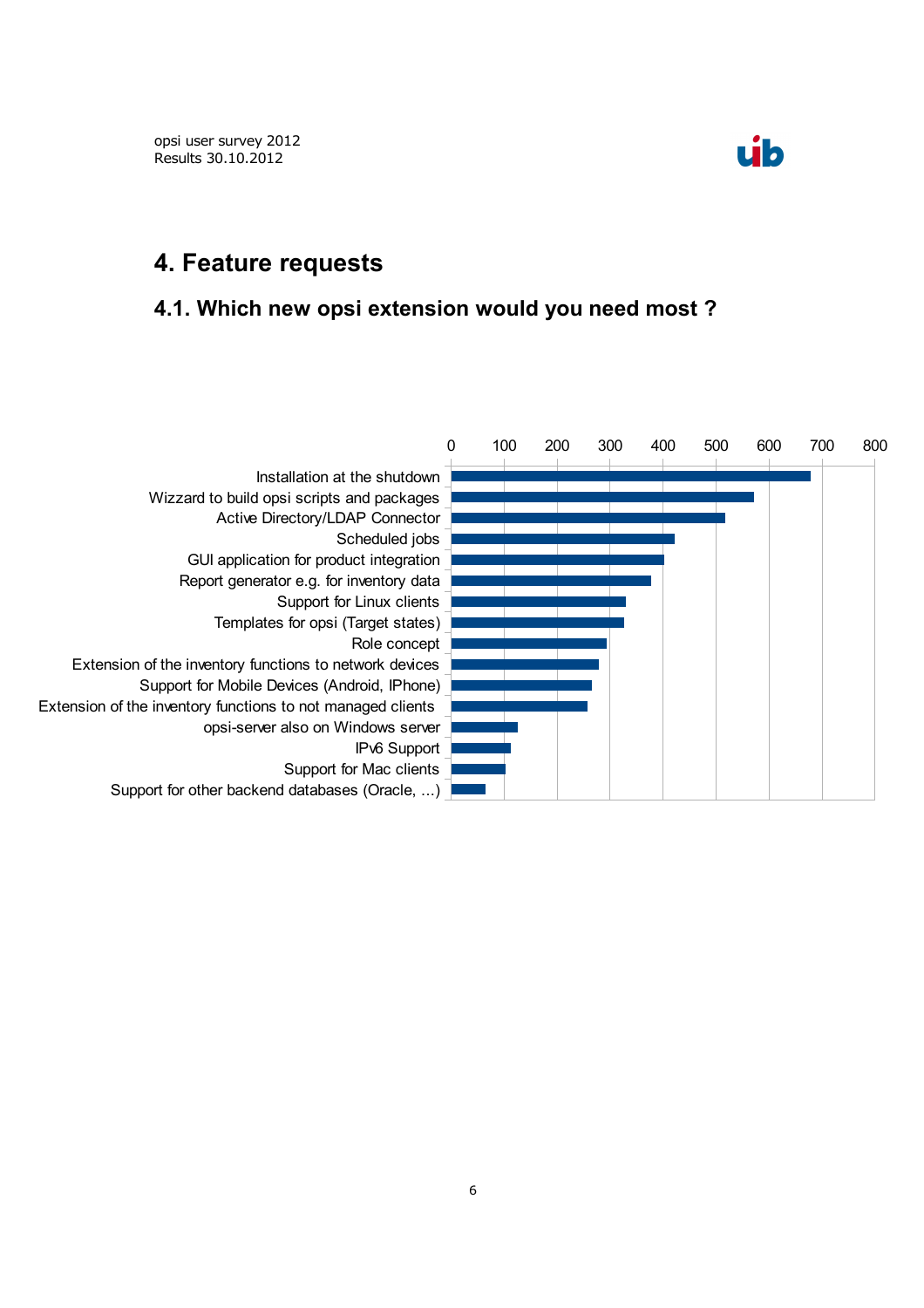

### **4. Feature requests**

#### **4.1. Which new opsi extension would you need most ?**

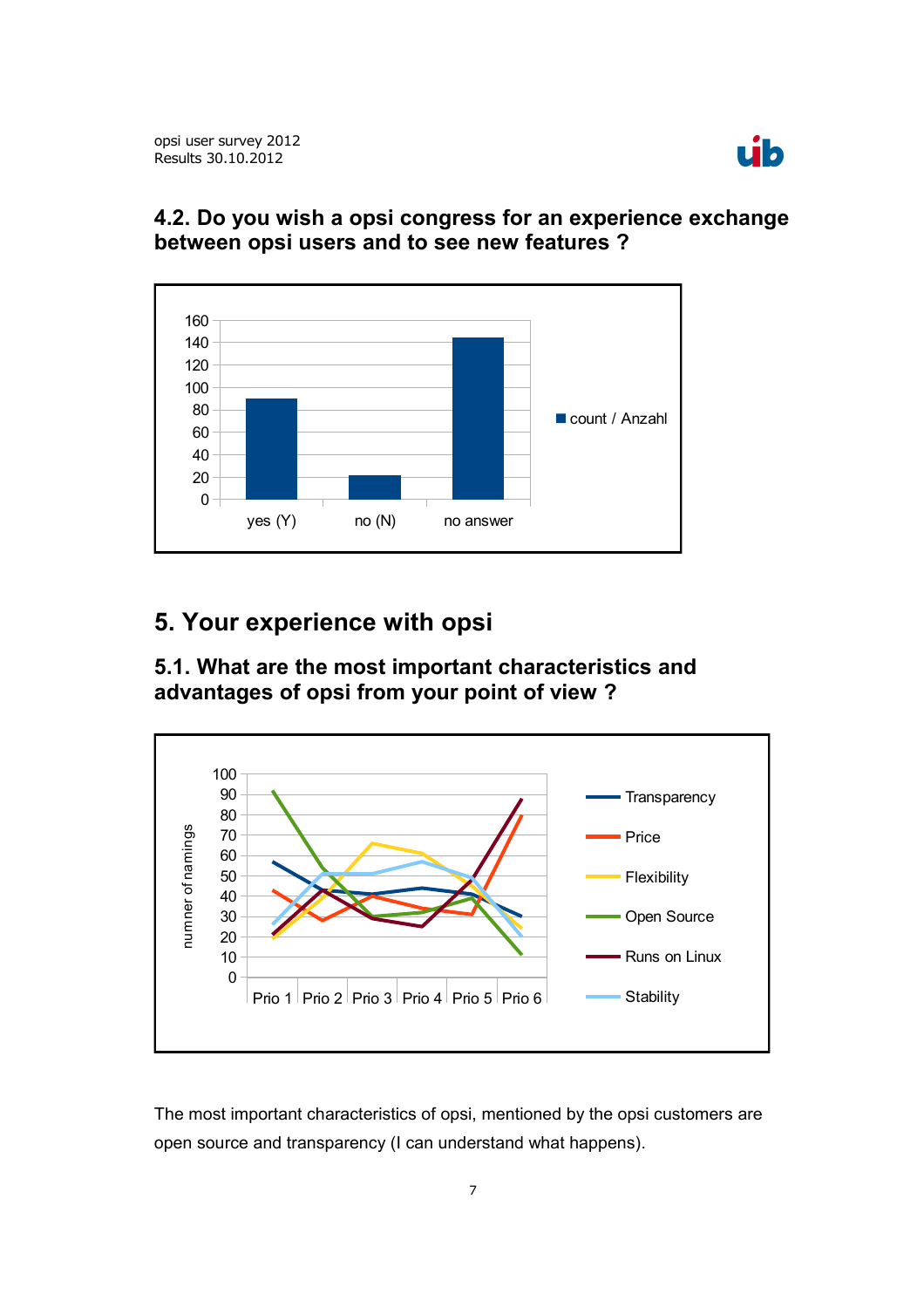

#### **4.2. Do you wish a opsi congress for an experience exchange between opsi users and to see new features ?**



# **5. Your experience with opsi**

**5.1. What are the most important characteristics and advantages of opsi from your point of view ?**



The most important characteristics of opsi, mentioned by the opsi customers are open source and transparency (I can understand what happens).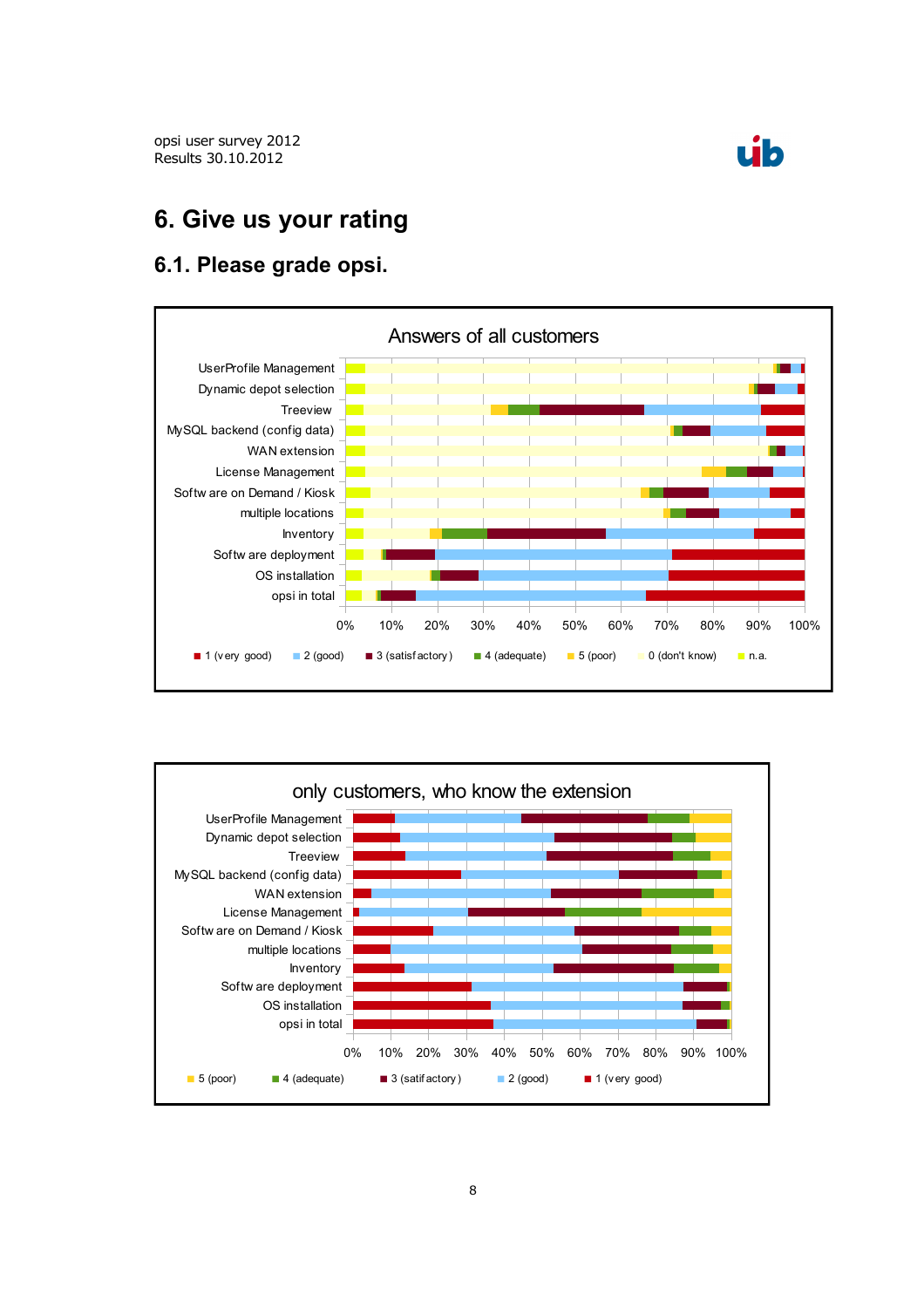



# **6. Give us your rating**

#### **6.1. Please grade opsi.**



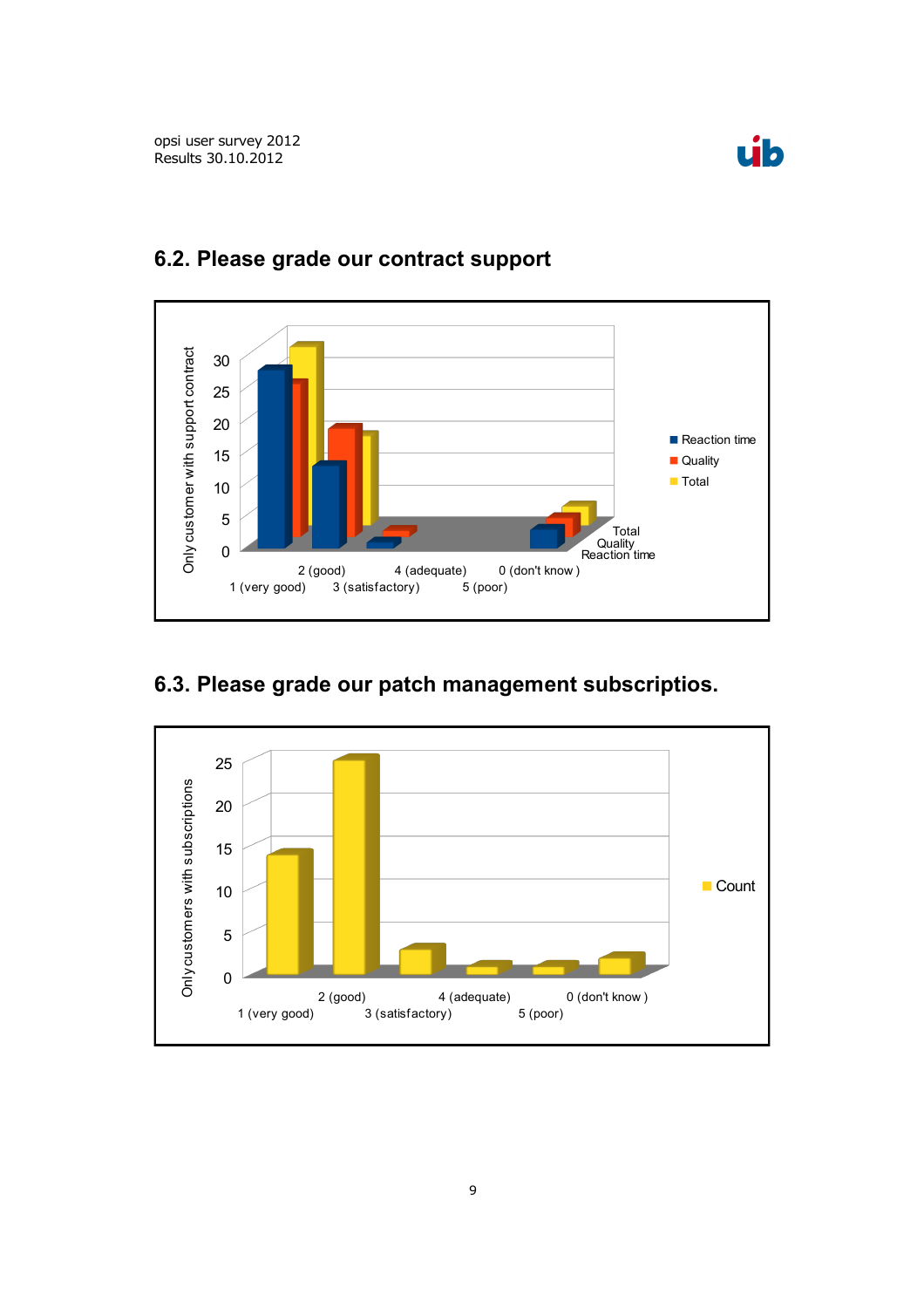



#### **6.2. Please grade our contract support**

## **6.3. Please grade our patch management subscriptios.**

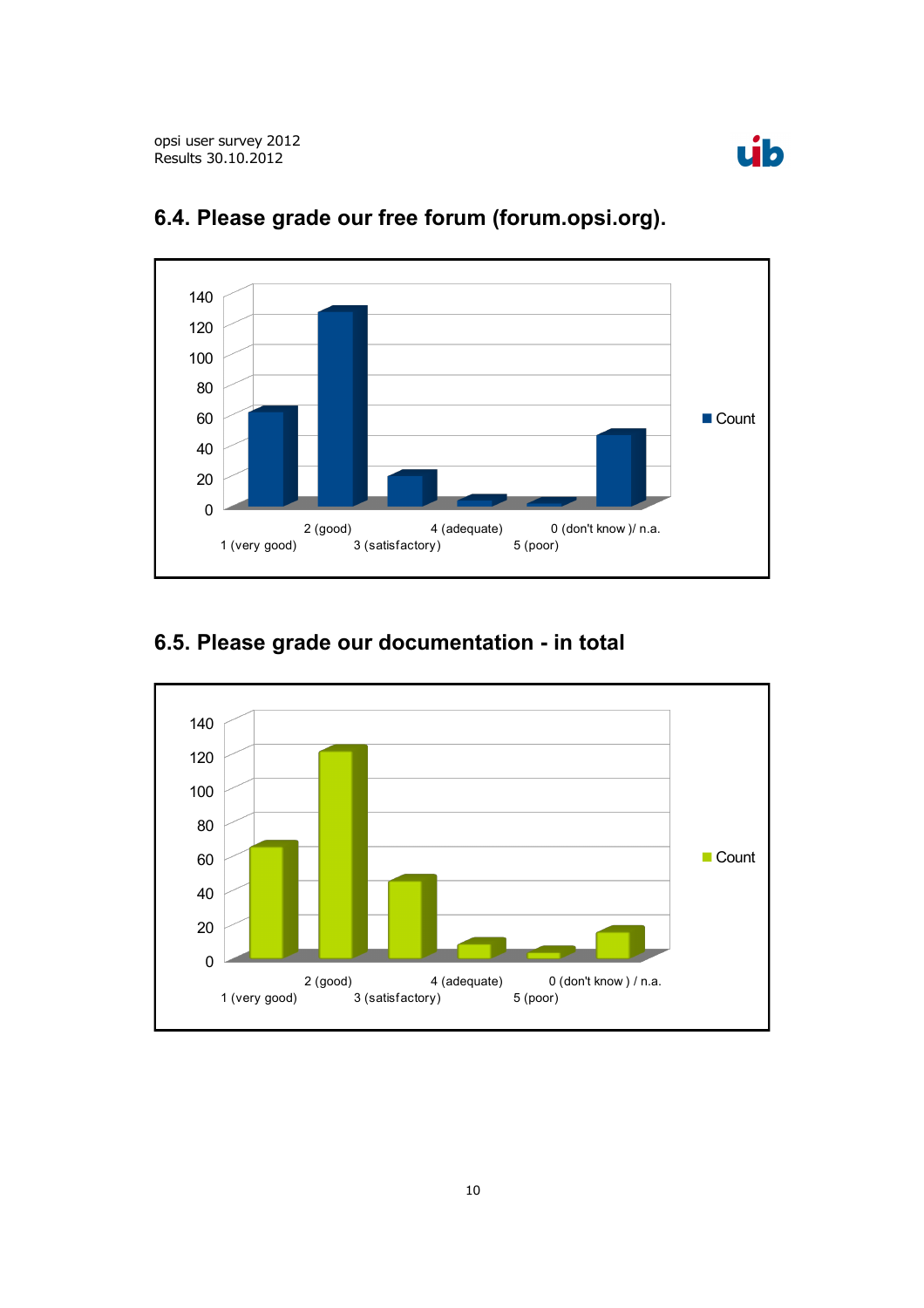



## **6.4. Please grade our free forum (forum.opsi.org).**

# **6.5. Please grade our documentation - in total**

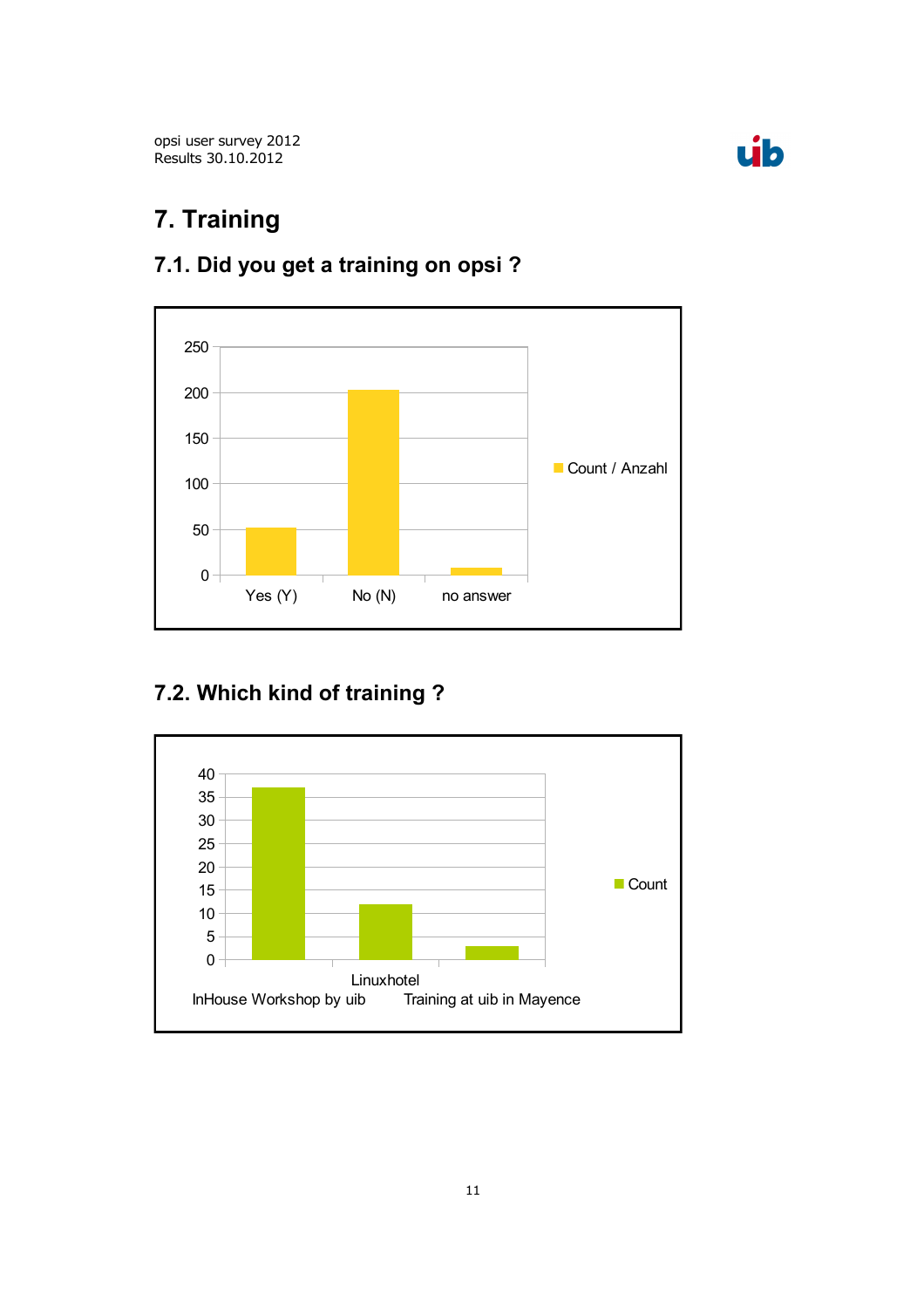



# **7. Training**



# **7.1. Did you get a training on opsi ?**

# **7.2. Which kind of training ?**